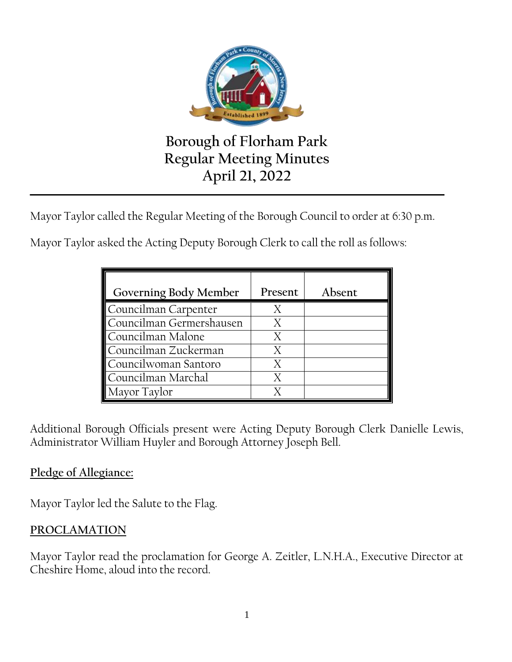

# **Borough of Florham Park Regular Meeting Minutes April 21, 2022**

Mayor Taylor called the Regular Meeting of the Borough Council to order at 6:30 p.m.

**\_\_\_\_\_\_\_\_\_\_\_\_\_\_\_\_\_\_\_\_\_\_\_\_\_\_\_\_\_\_\_\_\_\_\_\_\_\_\_\_\_\_\_\_\_\_\_\_\_\_\_\_\_\_\_\_\_\_\_\_\_\_\_\_\_\_\_\_\_\_\_\_\_\_\_\_\_\_\_\_\_\_\_\_\_\_\_\_\_\_\_\_\_\_\_\_\_\_\_\_\_\_**

Mayor Taylor asked the Acting Deputy Borough Clerk to call the roll as follows:

| Governing Body Member    | Present | Absent |
|--------------------------|---------|--------|
| Councilman Carpenter     |         |        |
| Councilman Germershausen | X       |        |
| Councilman Malone        |         |        |
| Councilman Zuckerman     |         |        |
| Councilwoman Santoro     | X       |        |
| Councilman Marchal       | X       |        |
| Mayor Taylor             |         |        |

Additional Borough Officials present were Acting Deputy Borough Clerk Danielle Lewis, Administrator William Huyler and Borough Attorney Joseph Bell.

## **Pledge of Allegiance:**

Mayor Taylor led the Salute to the Flag.

## **PROCLAMATION**

Mayor Taylor read the proclamation for George A. Zeitler, L.N.H.A., Executive Director at Cheshire Home, aloud into the record.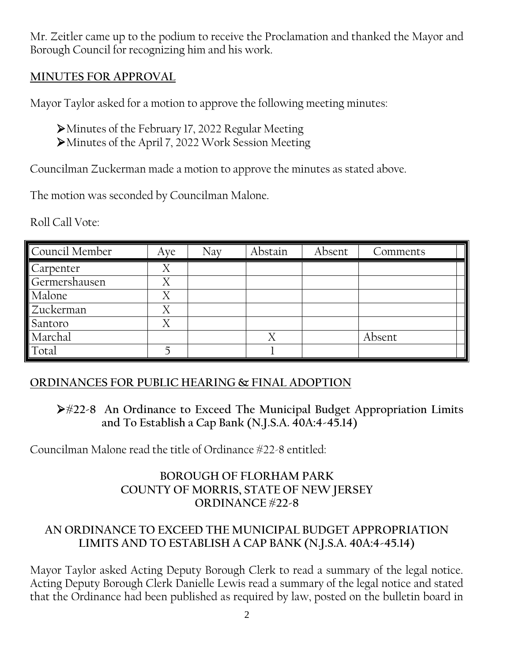Mr. Zeitler came up to the podium to receive the Proclamation and thanked the Mayor and Borough Council for recognizing him and his work.

## **MINUTES FOR APPROVAL**

Mayor Taylor asked for a motion to approve the following meeting minutes:

Minutes of the February 17, 2022 Regular Meeting Minutes of the April 7, 2022 Work Session Meeting

Councilman Zuckerman made a motion to approve the minutes as stated above.

The motion was seconded by Councilman Malone.

Roll Call Vote:

| Council Member | Aye | Nav | Abstain        | Absent | Comments |
|----------------|-----|-----|----------------|--------|----------|
| Carpenter      | Χ   |     |                |        |          |
| Germershausen  | Χ   |     |                |        |          |
| Malone         | Χ   |     |                |        |          |
| Zuckerman      | Χ   |     |                |        |          |
| Santoro        | Χ   |     |                |        |          |
| Marchal        |     |     | $\overline{X}$ |        | Absent   |
| Total          |     |     |                |        |          |

## **ORDINANCES FOR PUBLIC HEARING & FINAL ADOPTION**

**#22-8 An Ordinance to Exceed The Municipal Budget Appropriation Limits and To Establish a Cap Bank (N.J.S.A. 40A:4-45.14)**

Councilman Malone read the title of Ordinance #22-8 entitled:

### **BOROUGH OF FLORHAM PARK COUNTY OF MORRIS, STATE OF NEW JERSEY ORDINANCE #22-8**

## **AN ORDINANCE TO EXCEED THE MUNICIPAL BUDGET APPROPRIATION LIMITS AND TO ESTABLISH A CAP BANK (N.J.S.A. 40A:4-45.14)**

Mayor Taylor asked Acting Deputy Borough Clerk to read a summary of the legal notice. Acting Deputy Borough Clerk Danielle Lewis read a summary of the legal notice and stated that the Ordinance had been published as required by law, posted on the bulletin board in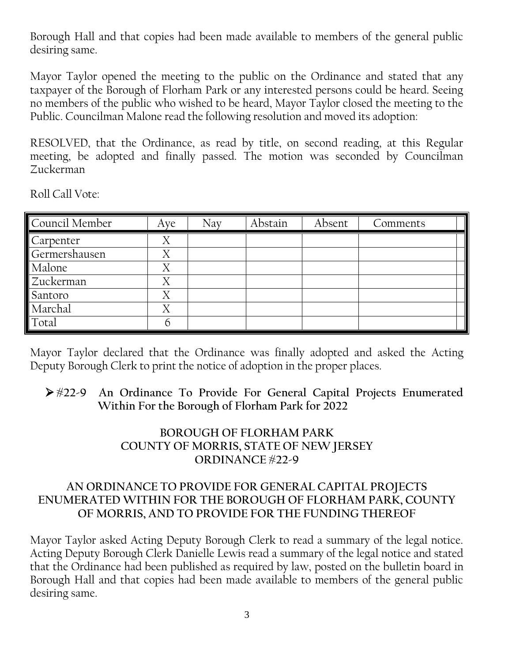Borough Hall and that copies had been made available to members of the general public desiring same.

Mayor Taylor opened the meeting to the public on the Ordinance and stated that any taxpayer of the Borough of Florham Park or any interested persons could be heard. Seeing no members of the public who wished to be heard, Mayor Taylor closed the meeting to the Public. Councilman Malone read the following resolution and moved its adoption:

RESOLVED, that the Ordinance, as read by title, on second reading, at this Regular meeting, be adopted and finally passed. The motion was seconded by Councilman Zuckerman

Roll Call Vote:

| Council Member | Aye | Nay | Abstain | Absent | Comments |
|----------------|-----|-----|---------|--------|----------|
| Carpenter      | Χ   |     |         |        |          |
| Germershausen  | Χ   |     |         |        |          |
| Malone         | Χ   |     |         |        |          |
| Zuckerman      | Χ   |     |         |        |          |
| Santoro        | Χ   |     |         |        |          |
| Marchal        | Χ   |     |         |        |          |
| Total          |     |     |         |        |          |

Mayor Taylor declared that the Ordinance was finally adopted and asked the Acting Deputy Borough Clerk to print the notice of adoption in the proper places.

 **#22-9 An Ordinance To Provide For General Capital Projects Enumerated Within For the Borough of Florham Park for 2022**

### **BOROUGH OF FLORHAM PARK COUNTY OF MORRIS, STATE OF NEW JERSEY ORDINANCE #22-9**

#### **AN ORDINANCE TO PROVIDE FOR GENERAL CAPITAL PROJECTS ENUMERATED WITHIN FOR THE BOROUGH OF FLORHAM PARK, COUNTY OF MORRIS, AND TO PROVIDE FOR THE FUNDING THEREOF**

Mayor Taylor asked Acting Deputy Borough Clerk to read a summary of the legal notice. Acting Deputy Borough Clerk Danielle Lewis read a summary of the legal notice and stated that the Ordinance had been published as required by law, posted on the bulletin board in Borough Hall and that copies had been made available to members of the general public desiring same.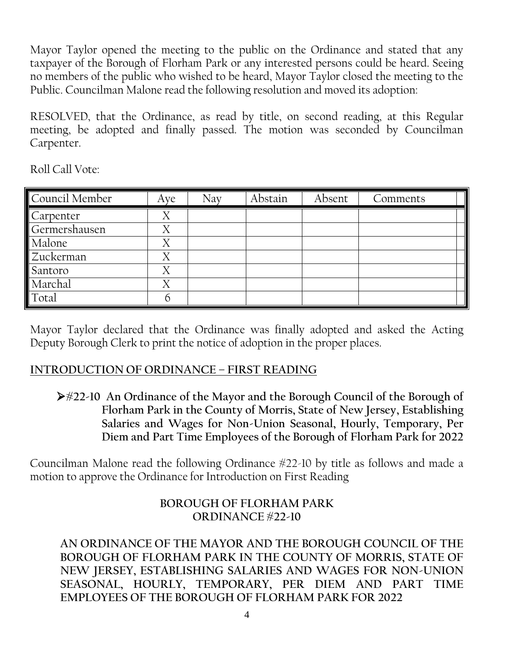Mayor Taylor opened the meeting to the public on the Ordinance and stated that any taxpayer of the Borough of Florham Park or any interested persons could be heard. Seeing no members of the public who wished to be heard, Mayor Taylor closed the meeting to the Public. Councilman Malone read the following resolution and moved its adoption:

RESOLVED, that the Ordinance, as read by title, on second reading, at this Regular meeting, be adopted and finally passed. The motion was seconded by Councilman Carpenter.

Roll Call Vote:

| Council Member | Aye | Nav | Abstain | Absent | Comments |
|----------------|-----|-----|---------|--------|----------|
| Carpenter      | Χ   |     |         |        |          |
| Germershausen  | Χ   |     |         |        |          |
| Malone         | X   |     |         |        |          |
| Zuckerman      | Χ   |     |         |        |          |
| Santoro        | Χ   |     |         |        |          |
| Marchal        | Χ   |     |         |        |          |
| Total          | h   |     |         |        |          |

Mayor Taylor declared that the Ordinance was finally adopted and asked the Acting Deputy Borough Clerk to print the notice of adoption in the proper places.

## **INTRODUCTION OF ORDINANCE – FIRST READING**

**#22-10 An Ordinance of the Mayor and the Borough Council of the Borough of Florham Park in the County of Morris, State of New Jersey, Establishing Salaries and Wages for Non-Union Seasonal, Hourly, Temporary, Per Diem and Part Time Employees of the Borough of Florham Park for 2022**

Councilman Malone read the following Ordinance #22-10 by title as follows and made a motion to approve the Ordinance for Introduction on First Reading

## **BOROUGH OF FLORHAM PARK ORDINANCE #22-10**

**AN ORDINANCE OF THE MAYOR AND THE BOROUGH COUNCIL OF THE BOROUGH OF FLORHAM PARK IN THE COUNTY OF MORRIS, STATE OF NEW JERSEY, ESTABLISHING SALARIES AND WAGES FOR NON-UNION SEASONAL, HOURLY, TEMPORARY, PER DIEM AND PART TIME EMPLOYEES OF THE BOROUGH OF FLORHAM PARK FOR 2022**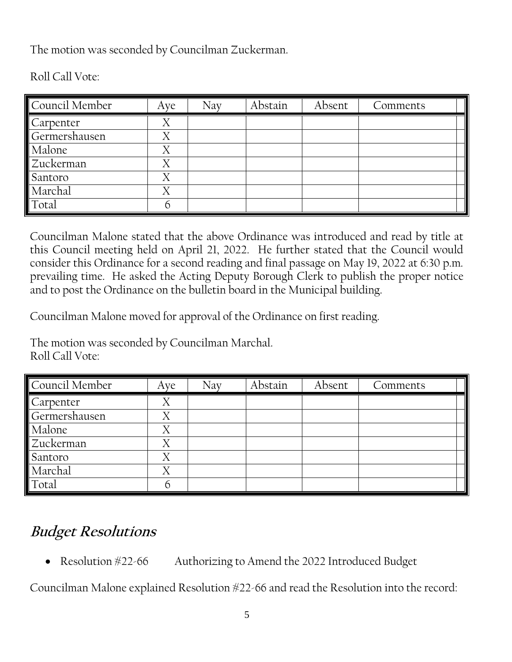The motion was seconded by Councilman Zuckerman.

| Council Member | Aye | Nay | Abstain | Absent | Comments |
|----------------|-----|-----|---------|--------|----------|
| Carpenter      |     |     |         |        |          |
| Germershausen  | Χ   |     |         |        |          |
| Malone         | Χ   |     |         |        |          |
| Zuckerman      | Χ   |     |         |        |          |
| Santoro        | Χ   |     |         |        |          |
| Marchal        | Χ   |     |         |        |          |
| Total          |     |     |         |        |          |

Roll Call Vote:

Councilman Malone stated that the above Ordinance was introduced and read by title at this Council meeting held on April 21, 2022. He further stated that the Council would consider this Ordinance for a second reading and final passage on May 19, 2022 at 6:30 p.m. prevailing time. He asked the Acting Deputy Borough Clerk to publish the proper notice and to post the Ordinance on the bulletin board in the Municipal building.

Councilman Malone moved for approval of the Ordinance on first reading.

The motion was seconded by Councilman Marchal. Roll Call Vote:

| Council Member | Aye | Nay | Abstain | Absent | Comments |
|----------------|-----|-----|---------|--------|----------|
| Carpenter      |     |     |         |        |          |
| Germershausen  | Χ   |     |         |        |          |
| Malone         | Χ   |     |         |        |          |
| Zuckerman      | Χ   |     |         |        |          |
| Santoro        | Χ   |     |         |        |          |
| Marchal        |     |     |         |        |          |
| Total          |     |     |         |        |          |

# **Budget Resolutions**

Resolution #22-66 Authorizing to Amend the 2022 Introduced Budget

Councilman Malone explained Resolution #22-66 and read the Resolution into the record: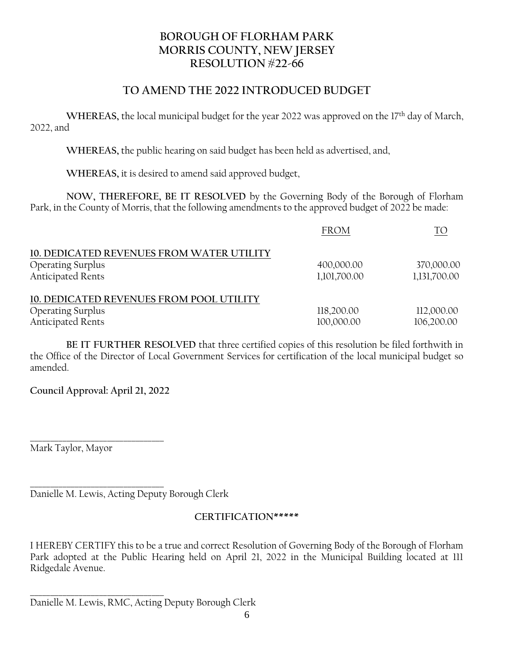#### **BOROUGH OF FLORHAM PARK MORRIS COUNTY, NEW JERSEY RESOLUTION #22-66**

#### **TO AMEND THE 2022 INTRODUCED BUDGET**

WHEREAS, the local municipal budget for the year 2022 was approved on the 17<sup>th</sup> day of March, 2022, and

**WHEREAS,** the public hearing on said budget has been held as advertised, and,

**WHEREAS,** it is desired to amend said approved budget,

**NOW, THEREFORE, BE IT RESOLVED** by the Governing Body of the Borough of Florham Park, in the County of Morris, that the following amendments to the approved budget of 2022 be made:

|                                           | <b>FROM</b>  | TΟ           |
|-------------------------------------------|--------------|--------------|
| 10. DEDICATED REVENUES FROM WATER UTILITY |              |              |
| <b>Operating Surplus</b>                  | 400,000.00   | 370,000.00   |
| <b>Anticipated Rents</b>                  | 1,101,700.00 | 1,131,700.00 |
| 10. DEDICATED REVENUES FROM POOL UTILITY  |              |              |
| <b>Operating Surplus</b>                  | 118,200.00   | 112,000.00   |
| <b>Anticipated Rents</b>                  | 100,000.00   | 106,200.00   |

**BE IT FURTHER RESOLVED** that three certified copies of this resolution be filed forthwith in the Office of the Director of Local Government Services for certification of the local municipal budget so amended.

**Council Approval: April 21, 2022**

**\_\_\_\_\_\_\_\_\_\_\_\_\_\_\_\_\_\_\_\_\_\_\_\_\_\_\_\_\_\_\_\_\_** Mark Taylor, Mayor

**\_\_\_\_\_\_\_\_\_\_\_\_\_\_\_\_\_\_\_\_\_\_\_\_\_\_\_\_\_\_\_\_\_** Danielle M. Lewis, Acting Deputy Borough Clerk

#### **CERTIFICATION\*\*\*\*\***

I HEREBY CERTIFY this to be a true and correct Resolution of Governing Body of the Borough of Florham Park adopted at the Public Hearing held on April 21, 2022 in the Municipal Building located at 111 Ridgedale Avenue.

**\_\_\_\_\_\_\_\_\_\_\_\_\_\_\_\_\_\_\_\_\_\_\_\_\_\_\_\_\_\_\_\_\_** Danielle M. Lewis, RMC, Acting Deputy Borough Clerk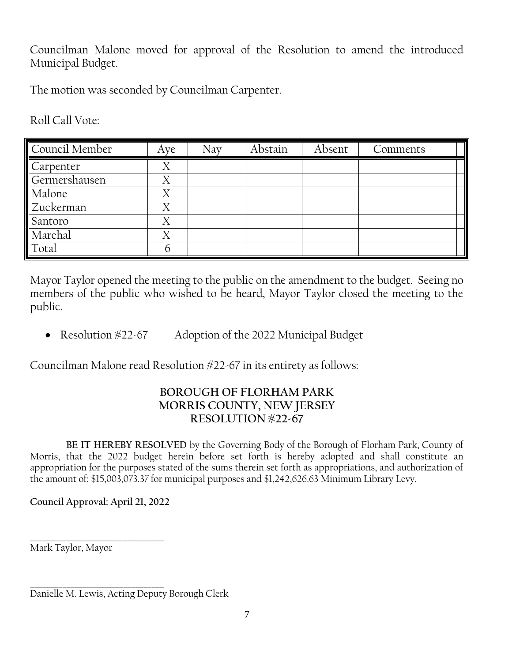Councilman Malone moved for approval of the Resolution to amend the introduced Municipal Budget.

The motion was seconded by Councilman Carpenter.

Roll Call Vote:

| Council Member | Aye | Nay | Abstain | Absent | Comments |
|----------------|-----|-----|---------|--------|----------|
| Carpenter      | Х   |     |         |        |          |
| Germershausen  |     |     |         |        |          |
| Malone         | Х   |     |         |        |          |
| Zuckerman      | Χ   |     |         |        |          |
| Santoro        | Χ   |     |         |        |          |
| Marchal        |     |     |         |        |          |
| Total          |     |     |         |        |          |

Mayor Taylor opened the meeting to the public on the amendment to the budget. Seeing no members of the public who wished to be heard, Mayor Taylor closed the meeting to the public.

• Resolution #22-67 Adoption of the 2022 Municipal Budget

Councilman Malone read Resolution #22-67 in its entirety as follows:

#### **BOROUGH OF FLORHAM PARK MORRIS COUNTY, NEW JERSEY RESOLUTION #22-67**

**BE IT HEREBY RESOLVED** by the Governing Body of the Borough of Florham Park, County of Morris, that the 2022 budget herein before set forth is hereby adopted and shall constitute an appropriation for the purposes stated of the sums therein set forth as appropriations, and authorization of the amount of: \$15,003,073.37 for municipal purposes and \$1,242,626.63 Minimum Library Levy.

**Council Approval: April 21, 2022**

**\_\_\_\_\_\_\_\_\_\_\_\_\_\_\_\_\_\_\_\_\_\_\_\_\_\_\_\_\_\_\_\_\_** Mark Taylor, Mayor

**\_\_\_\_\_\_\_\_\_\_\_\_\_\_\_\_\_\_\_\_\_\_\_\_\_\_\_\_\_\_\_\_\_** Danielle M. Lewis, Acting Deputy Borough Clerk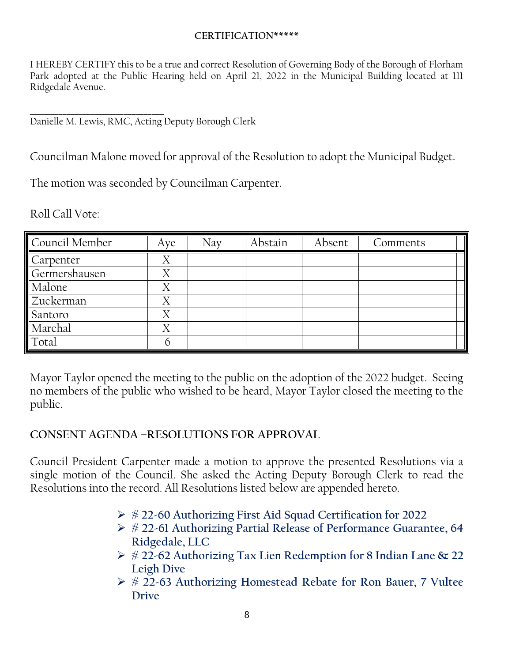#### **CERTIFICATION\*\*\*\*\***

I HEREBY CERTIFY this to be a true and correct Resolution of Governing Body of the Borough of Florham Park adopted at the Public Hearing held on April 21, 2022 in the Municipal Building located at 111 Ridgedale Avenue.

**\_\_\_\_\_\_\_\_\_\_\_\_\_\_\_\_\_\_\_\_\_\_\_\_\_\_\_\_\_\_\_\_\_** Danielle M. Lewis, RMC, Acting Deputy Borough Clerk

Councilman Malone moved for approval of the Resolution to adopt the Municipal Budget.

The motion was seconded by Councilman Carpenter.

Roll Call Vote:

| Council Member | Aye | Nay | Abstain | Absent | Comments |
|----------------|-----|-----|---------|--------|----------|
| Carpenter      |     |     |         |        |          |
| Germershausen  | Χ   |     |         |        |          |
| Malone         | Χ   |     |         |        |          |
| Zuckerman      | X   |     |         |        |          |
| Santoro        |     |     |         |        |          |
| Marchal        | Χ   |     |         |        |          |
| Total          |     |     |         |        |          |

Mayor Taylor opened the meeting to the public on the adoption of the 2022 budget. Seeing no members of the public who wished to be heard, Mayor Taylor closed the meeting to the public.

#### **CONSENT AGENDA –RESOLUTIONS FOR APPROVAL**

Council President Carpenter made a motion to approve the presented Resolutions via a single motion of the Council. She asked the Acting Deputy Borough Clerk to read the Resolutions into the record. All Resolutions listed below are appended hereto.

- **# 22-60 Authorizing First Aid Squad Certification for 2022**
- **# 22-61 Authorizing Partial Release of Performance Guarantee, 64 Ridgedale, LLC**
- **# 22-62 Authorizing Tax Lien Redemption for 8 Indian Lane & 22 Leigh Dive**
- **# 22-63 Authorizing Homestead Rebate for Ron Bauer, 7 Vultee Drive**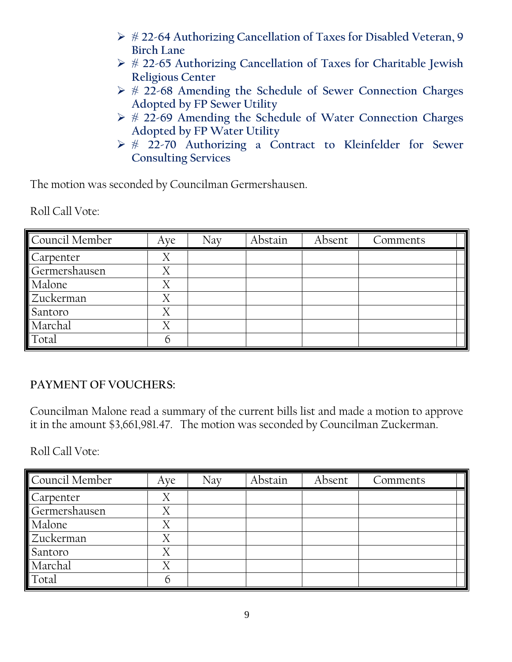- **# 22-64 Authorizing Cancellation of Taxes for Disabled Veteran, 9 Birch Lane**
- **# 22-65 Authorizing Cancellation of Taxes for Charitable Jewish Religious Center**
- **# 22-68 Amending the Schedule of Sewer Connection Charges Adopted by FP Sewer Utility**
- **# 22-69 Amending the Schedule of Water Connection Charges Adopted by FP Water Utility**
- **# 22-70 Authorizing a Contract to Kleinfelder for Sewer Consulting Services**

The motion was seconded by Councilman Germershausen.

Roll Call Vote:

| Council Member | Aye | Nav | Abstain | Absent | Comments |
|----------------|-----|-----|---------|--------|----------|
| Carpenter      | Λ   |     |         |        |          |
| Germershausen  | Χ   |     |         |        |          |
| Malone         | Χ   |     |         |        |          |
| Zuckerman      |     |     |         |        |          |
| Santoro        | Х   |     |         |        |          |
| Marchal        | Χ   |     |         |        |          |
| Total          |     |     |         |        |          |

## **PAYMENT OF VOUCHERS:**

Councilman Malone read a summary of the current bills list and made a motion to approve it in the amount \$3,661,981.47. The motion was seconded by Councilman Zuckerman.

Roll Call Vote:

| Council Member | Aye            | Nay | Abstain | Absent | Comments |
|----------------|----------------|-----|---------|--------|----------|
| Carpenter      | Χ              |     |         |        |          |
| Germershausen  |                |     |         |        |          |
| Malone         | Χ              |     |         |        |          |
| Zuckerman      |                |     |         |        |          |
| Santoro        | $\overline{X}$ |     |         |        |          |
| Marchal        | Χ              |     |         |        |          |
| Total          |                |     |         |        |          |